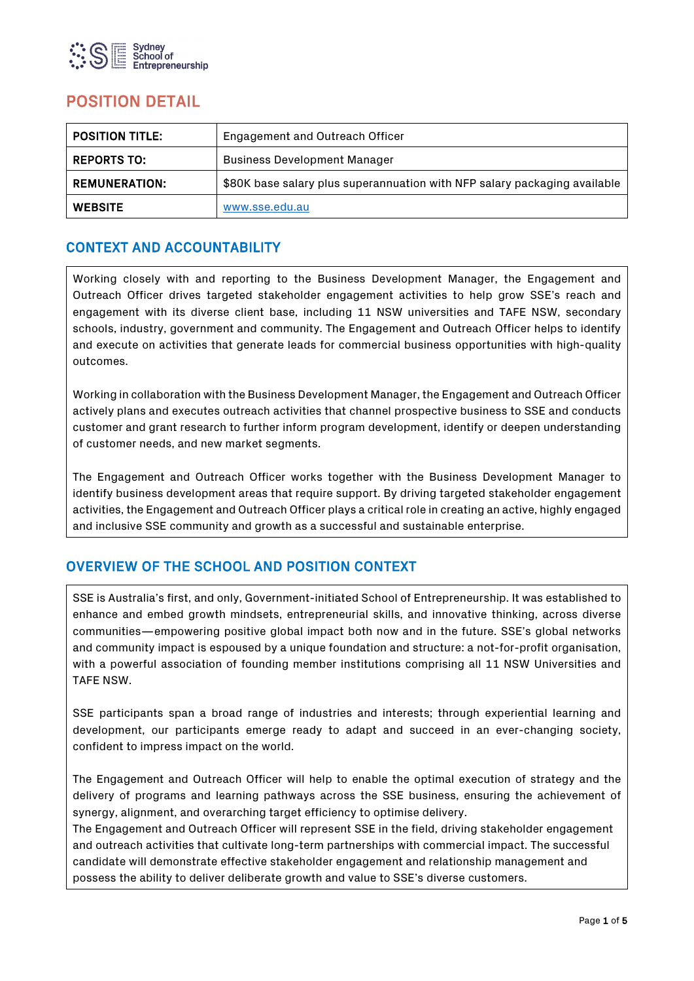

# POSITION DETAIL

| <b>POSITION TITLE:</b>                                                                            | Engagement and Outreach Officer     |  |
|---------------------------------------------------------------------------------------------------|-------------------------------------|--|
| <b>REPORTS TO:</b>                                                                                | <b>Business Development Manager</b> |  |
| <b>REMUNERATION:</b><br>\$80K base salary plus superannuation with NFP salary packaging available |                                     |  |
| <b>WEBSITE</b>                                                                                    | www.sse.edu.au                      |  |

## CONTEXT AND ACCOUNTABILITY

Working closely with and reporting to the Business Development Manager, the Engagement and Outreach Officer drives targeted stakeholder engagement activities to help grow SSE's reach and engagement with its diverse client base, including 11 NSW universities and TAFE NSW, secondary schools, industry, government and community. The Engagement and Outreach Officer helps to identify and execute on activities that generate leads for commercial business opportunities with high-quality outcomes.

Working in collaboration with the Business Development Manager, the Engagement and Outreach Officer actively plans and executes outreach activities that channel prospective business to SSE and conducts customer and grant research to further inform program development, identify or deepen understanding of customer needs, and new market segments.

The Engagement and Outreach Officer works together with the Business Development Manager to identify business development areas that require support. By driving targeted stakeholder engagement activities, the Engagement and Outreach Officer plays a critical role in creating an active, highly engaged and inclusive SSE community and growth as a successful and sustainable enterprise.

## OVERVIEW OF THE SCHOOL AND POSITION CONTEXT

SSE is Australia's first, and only, Government-initiated School of Entrepreneurship. It was established to enhance and embed growth mindsets, entrepreneurial skills, and innovative thinking, across diverse communities—empowering positive global impact both now and in the future. SSE's global networks and community impact is espoused by a unique foundation and structure: a not-for-profit organisation, with a powerful association of founding member institutions comprising all 11 NSW Universities and TAFE NSW.

SSE participants span a broad range of industries and interests; through experiential learning and development, our participants emerge ready to adapt and succeed in an ever-changing society, confident to impress impact on the world.

The Engagement and Outreach Officer will help to enable the optimal execution of strategy and the delivery of programs and learning pathways across the SSE business, ensuring the achievement of synergy, alignment, and overarching target efficiency to optimise delivery.

The Engagement and Outreach Officer will represent SSE in the field, driving stakeholder engagement and outreach activities that cultivate long-term partnerships with commercial impact. The successful candidate will demonstrate effective stakeholder engagement and relationship management and possess the ability to deliver deliberate growth and value to SSE's diverse customers.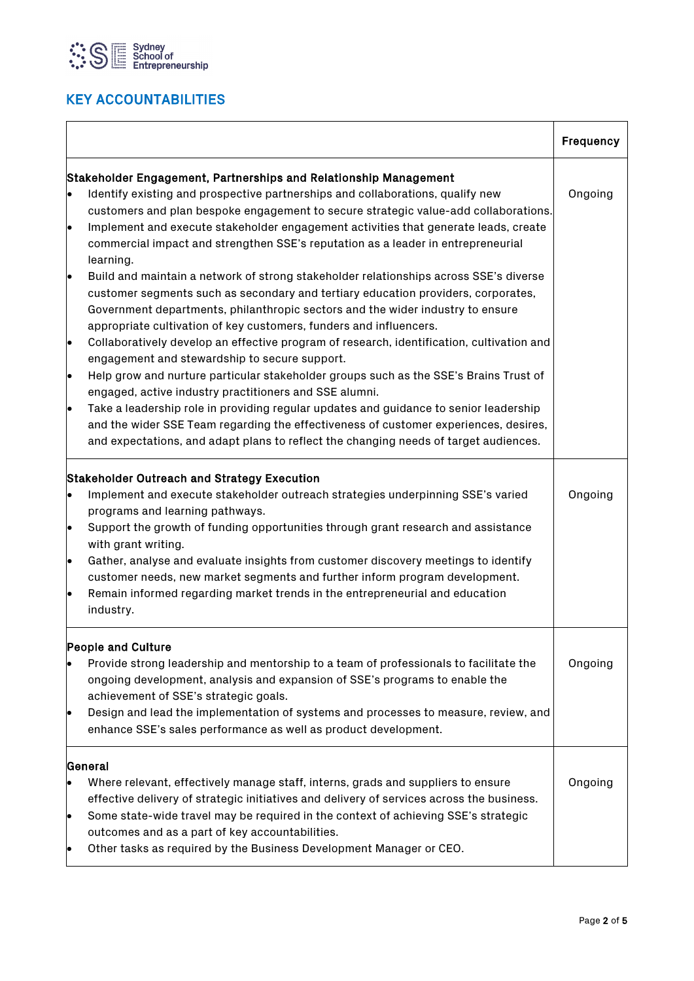

# KEY ACCOUNTABILITIES

|                                                  |                                                                                                                                                                                                                                                                                                                                                                                                                                                                                                                                           | Frequency |
|--------------------------------------------------|-------------------------------------------------------------------------------------------------------------------------------------------------------------------------------------------------------------------------------------------------------------------------------------------------------------------------------------------------------------------------------------------------------------------------------------------------------------------------------------------------------------------------------------------|-----------|
|                                                  | Stakeholder Engagement, Partnerships and Relationship Management                                                                                                                                                                                                                                                                                                                                                                                                                                                                          |           |
|                                                  | Identify existing and prospective partnerships and collaborations, qualify new<br>customers and plan bespoke engagement to secure strategic value-add collaborations.                                                                                                                                                                                                                                                                                                                                                                     | Ongoing   |
| lo                                               | Implement and execute stakeholder engagement activities that generate leads, create<br>commercial impact and strengthen SSE's reputation as a leader in entrepreneurial<br>learning.                                                                                                                                                                                                                                                                                                                                                      |           |
| lo                                               | Build and maintain a network of strong stakeholder relationships across SSE's diverse<br>customer segments such as secondary and tertiary education providers, corporates,<br>Government departments, philanthropic sectors and the wider industry to ensure<br>appropriate cultivation of key customers, funders and influencers.                                                                                                                                                                                                        |           |
| $\bullet$                                        | Collaboratively develop an effective program of research, identification, cultivation and<br>engagement and stewardship to secure support.                                                                                                                                                                                                                                                                                                                                                                                                |           |
| $\bullet$                                        | Help grow and nurture particular stakeholder groups such as the SSE's Brains Trust of<br>engaged, active industry practitioners and SSE alumni.                                                                                                                                                                                                                                                                                                                                                                                           |           |
| $\bullet$                                        | Take a leadership role in providing regular updates and guidance to senior leadership<br>and the wider SSE Team regarding the effectiveness of customer experiences, desires,<br>and expectations, and adapt plans to reflect the changing needs of target audiences.                                                                                                                                                                                                                                                                     |           |
| $\bullet$<br>$\bullet$<br>$\bullet$<br>$\bullet$ | <b>Stakeholder Outreach and Strategy Execution</b><br>Implement and execute stakeholder outreach strategies underpinning SSE's varied<br>programs and learning pathways.<br>Support the growth of funding opportunities through grant research and assistance<br>with grant writing.<br>Gather, analyse and evaluate insights from customer discovery meetings to identify<br>customer needs, new market segments and further inform program development.<br>Remain informed regarding market trends in the entrepreneurial and education | Ongoing   |
|                                                  | industry.                                                                                                                                                                                                                                                                                                                                                                                                                                                                                                                                 |           |
| $\bullet$                                        | <b>People and Culture</b><br>Provide strong leadership and mentorship to a team of professionals to facilitate the<br>ongoing development, analysis and expansion of SSE's programs to enable the<br>achievement of SSE's strategic goals.<br>Design and lead the implementation of systems and processes to measure, review, and<br>enhance SSE's sales performance as well as product development.                                                                                                                                      | Ongoing   |
| $\bullet$<br>$\bullet$                           | General<br>Where relevant, effectively manage staff, interns, grads and suppliers to ensure<br>effective delivery of strategic initiatives and delivery of services across the business.<br>Some state-wide travel may be required in the context of achieving SSE's strategic<br>outcomes and as a part of key accountabilities.<br>Other tasks as required by the Business Development Manager or CEO.                                                                                                                                  | Ongoing   |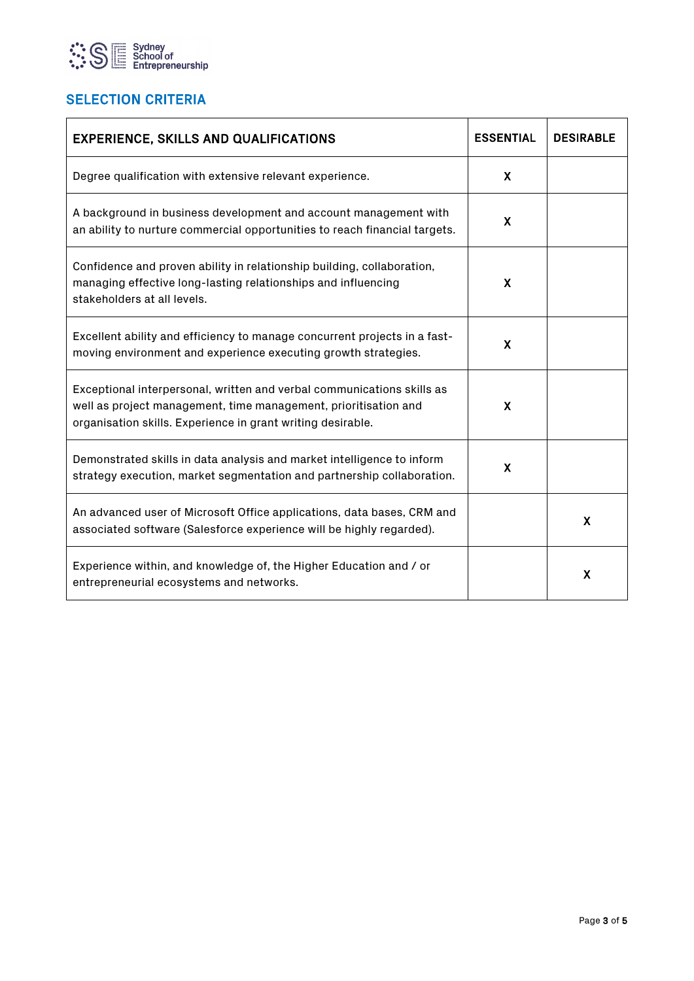

## **SELECTION CRITERIA**

| <b>EXPERIENCE, SKILLS AND QUALIFICATIONS</b>                                                                                                                                                             | <b>ESSENTIAL</b> | <b>DESIRABLE</b> |
|----------------------------------------------------------------------------------------------------------------------------------------------------------------------------------------------------------|------------------|------------------|
| Degree qualification with extensive relevant experience.                                                                                                                                                 | X                |                  |
| A background in business development and account management with<br>an ability to nurture commercial opportunities to reach financial targets.                                                           | X                |                  |
| Confidence and proven ability in relationship building, collaboration,<br>managing effective long-lasting relationships and influencing<br>stakeholders at all levels.                                   | X                |                  |
| Excellent ability and efficiency to manage concurrent projects in a fast-<br>moving environment and experience executing growth strategies.                                                              | X                |                  |
| Exceptional interpersonal, written and verbal communications skills as<br>well as project management, time management, prioritisation and<br>organisation skills. Experience in grant writing desirable. | X                |                  |
| Demonstrated skills in data analysis and market intelligence to inform<br>strategy execution, market segmentation and partnership collaboration.                                                         | X                |                  |
| An advanced user of Microsoft Office applications, data bases, CRM and<br>associated software (Salesforce experience will be highly regarded).                                                           |                  | X                |
| Experience within, and knowledge of, the Higher Education and / or<br>entrepreneurial ecosystems and networks.                                                                                           |                  | X                |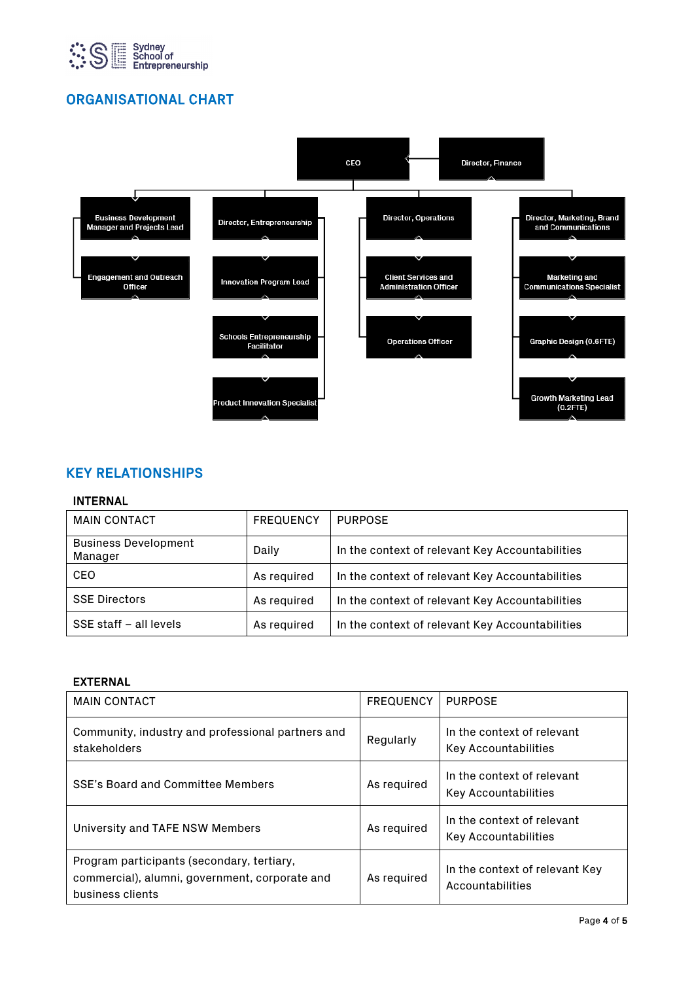

## ORGANISATIONAL CHART



## KEY RELATIONSHIPS

#### INTERNAL

| <b>MAIN CONTACT</b>                    | <b>FREQUENCY</b> | <b>PURPOSE</b>                                  |
|----------------------------------------|------------------|-------------------------------------------------|
| <b>Business Development</b><br>Manager | Daily            | In the context of relevant Key Accountabilities |
| CEO                                    | As required      | In the context of relevant Key Accountabilities |
| <b>SSE Directors</b>                   | As required      | In the context of relevant Key Accountabilities |
| SSE staff - all levels                 | As required      | In the context of relevant Key Accountabilities |

#### EXTERNAL

| <b>MAIN CONTACT</b>                                                                                              | <b>FREQUENCY</b> | <b>PURPOSE</b>                                            |
|------------------------------------------------------------------------------------------------------------------|------------------|-----------------------------------------------------------|
| Community, industry and professional partners and<br>stakeholders                                                | Regularly        | In the context of relevant<br><b>Key Accountabilities</b> |
| SSE's Board and Committee Members                                                                                | As required      | In the context of relevant<br><b>Key Accountabilities</b> |
| University and TAFE NSW Members                                                                                  | As required      | In the context of relevant<br><b>Key Accountabilities</b> |
| Program participants (secondary, tertiary,<br>commercial), alumni, government, corporate and<br>business clients | As required      | In the context of relevant Key<br>Accountabilities        |